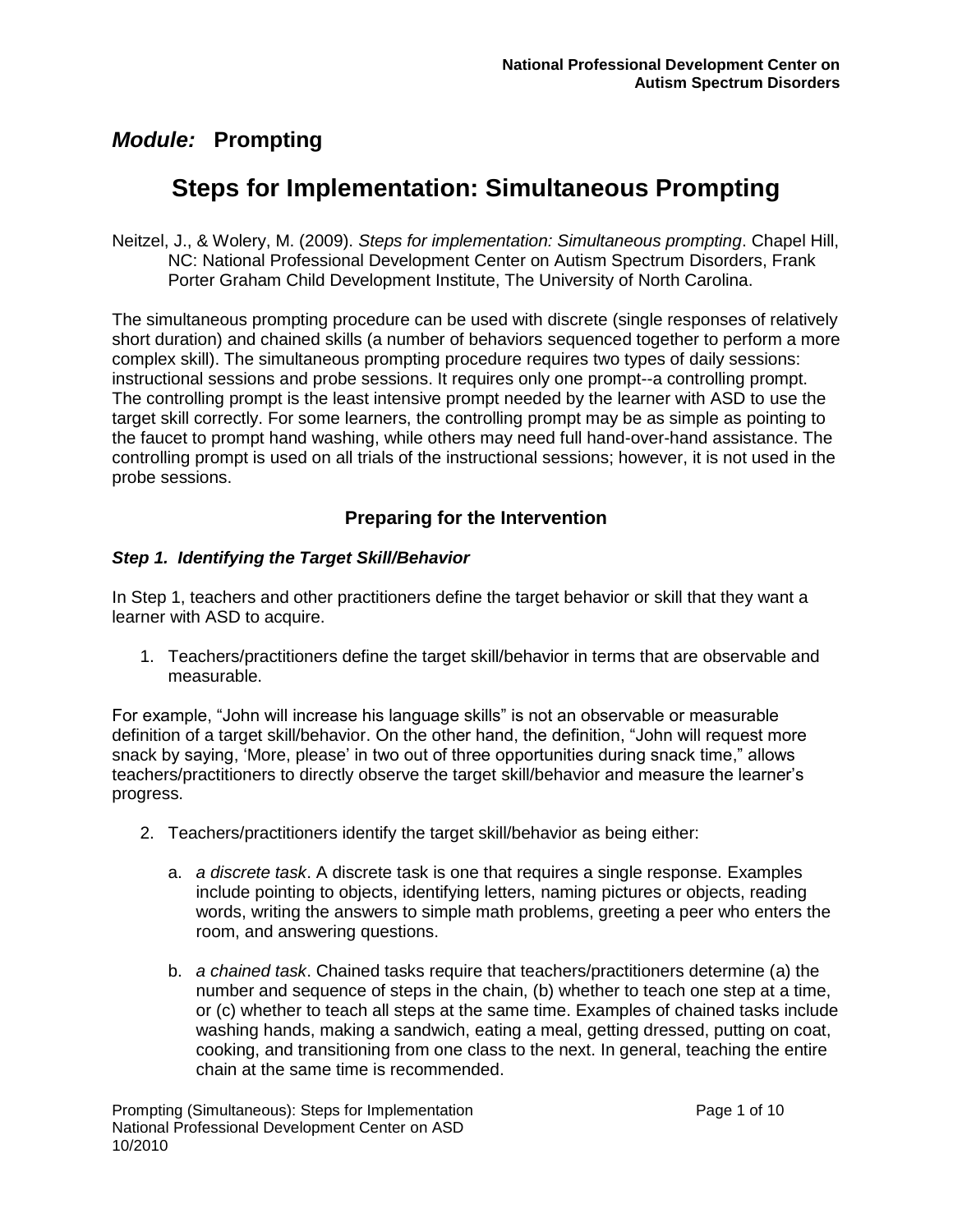# **Steps for Implementation: Simultaneous Prompting**

Neitzel, J., & Wolery, M. (2009). *Steps for implementation: Simultaneous prompting*. Chapel Hill, NC: National Professional Development Center on Autism Spectrum Disorders, Frank Porter Graham Child Development Institute, The University of North Carolina.

The simultaneous prompting procedure can be used with discrete (single responses of relatively short duration) and chained skills (a number of behaviors sequenced together to perform a more complex skill). The simultaneous prompting procedure requires two types of daily sessions: instructional sessions and probe sessions. It requires only one prompt--a controlling prompt. The controlling prompt is the least intensive prompt needed by the learner with ASD to use the target skill correctly. For some learners, the controlling prompt may be as simple as pointing to the faucet to prompt hand washing, while others may need full hand-over-hand assistance. The controlling prompt is used on all trials of the instructional sessions; however, it is not used in the probe sessions.

### **Preparing for the Intervention**

#### *Step 1. Identifying the Target Skill/Behavior*

In Step 1, teachers and other practitioners define the target behavior or skill that they want a learner with ASD to acquire.

1. Teachers/practitioners define the target skill/behavior in terms that are observable and measurable.

For example, "John will increase his language skills" is not an observable or measurable definition of a target skill/behavior. On the other hand, the definition, "John will request more snack by saying, "More, please" in two out of three opportunities during snack time," allows teachers/practitioners to directly observe the target skill/behavior and measure the learner"s progress.

- 2. Teachers/practitioners identify the target skill/behavior as being either:
	- a. *a discrete task*. A discrete task is one that requires a single response. Examples include pointing to objects, identifying letters, naming pictures or objects, reading words, writing the answers to simple math problems, greeting a peer who enters the room, and answering questions.
	- b. *a chained task*. Chained tasks require that teachers/practitioners determine (a) the number and sequence of steps in the chain, (b) whether to teach one step at a time, or (c) whether to teach all steps at the same time. Examples of chained tasks include washing hands, making a sandwich, eating a meal, getting dressed, putting on coat, cooking, and transitioning from one class to the next. In general, teaching the entire chain at the same time is recommended.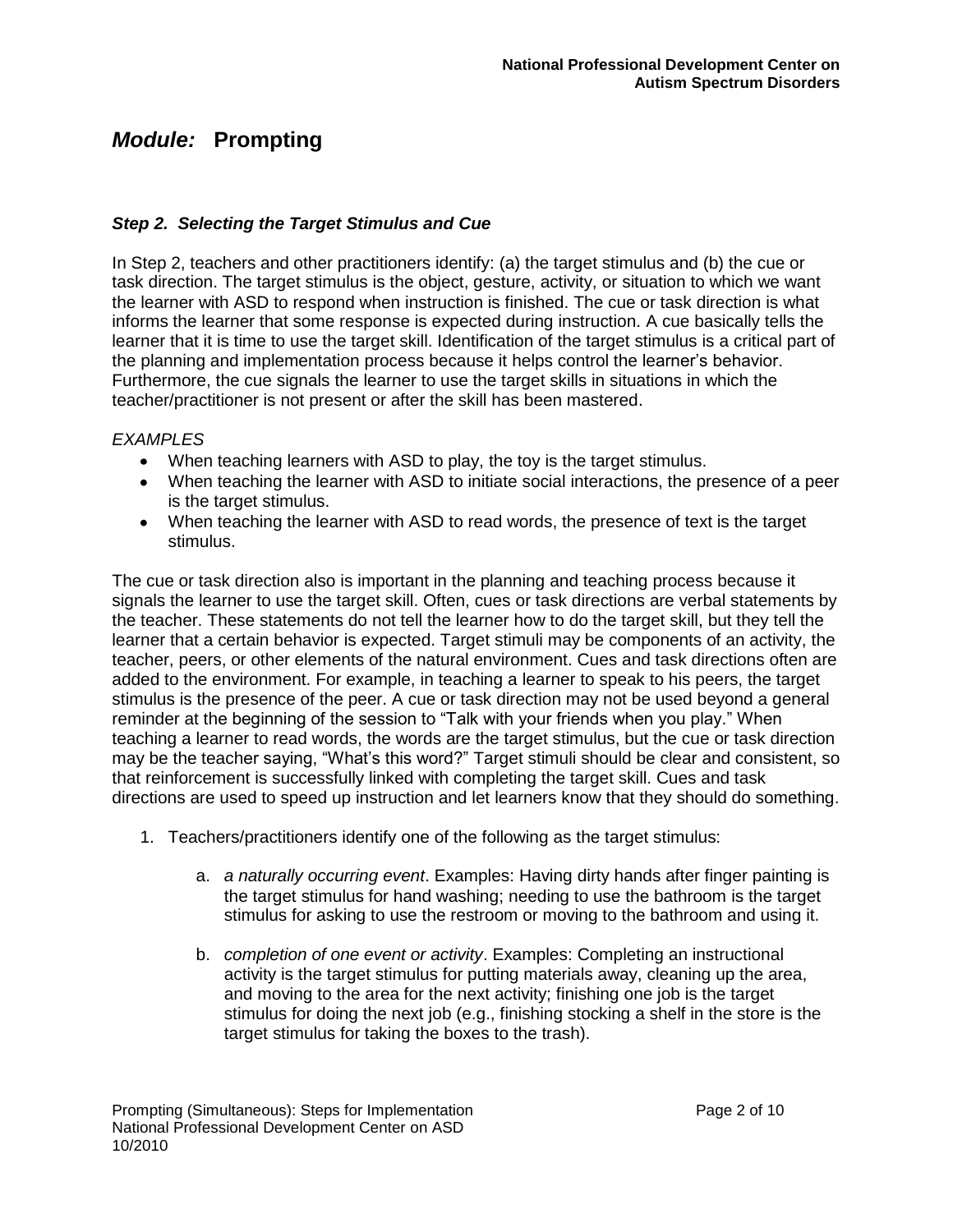#### *Step 2. Selecting the Target Stimulus and Cue*

In Step 2, teachers and other practitioners identify: (a) the target stimulus and (b) the cue or task direction. The target stimulus is the object, gesture, activity, or situation to which we want the learner with ASD to respond when instruction is finished. The cue or task direction is what informs the learner that some response is expected during instruction. A cue basically tells the learner that it is time to use the target skill. Identification of the target stimulus is a critical part of the planning and implementation process because it helps control the learner"s behavior. Furthermore, the cue signals the learner to use the target skills in situations in which the teacher/practitioner is not present or after the skill has been mastered.

#### *EXAMPLES*

- When teaching learners with ASD to play, the toy is the target stimulus.
- When teaching the learner with ASD to initiate social interactions, the presence of a peer is the target stimulus.
- When teaching the learner with ASD to read words, the presence of text is the target stimulus.

The cue or task direction also is important in the planning and teaching process because it signals the learner to use the target skill. Often, cues or task directions are verbal statements by the teacher. These statements do not tell the learner how to do the target skill, but they tell the learner that a certain behavior is expected. Target stimuli may be components of an activity, the teacher, peers, or other elements of the natural environment. Cues and task directions often are added to the environment. For example, in teaching a learner to speak to his peers, the target stimulus is the presence of the peer. A cue or task direction may not be used beyond a general reminder at the beginning of the session to "Talk with your friends when you play." When teaching a learner to read words, the words are the target stimulus, but the cue or task direction may be the teacher saying, "What"s this word?" Target stimuli should be clear and consistent, so that reinforcement is successfully linked with completing the target skill. Cues and task directions are used to speed up instruction and let learners know that they should do something.

- 1. Teachers/practitioners identify one of the following as the target stimulus:
	- a. *a naturally occurring event*. Examples: Having dirty hands after finger painting is the target stimulus for hand washing; needing to use the bathroom is the target stimulus for asking to use the restroom or moving to the bathroom and using it.
	- b. *completion of one event or activity*. Examples: Completing an instructional activity is the target stimulus for putting materials away, cleaning up the area, and moving to the area for the next activity; finishing one job is the target stimulus for doing the next job (e.g., finishing stocking a shelf in the store is the target stimulus for taking the boxes to the trash).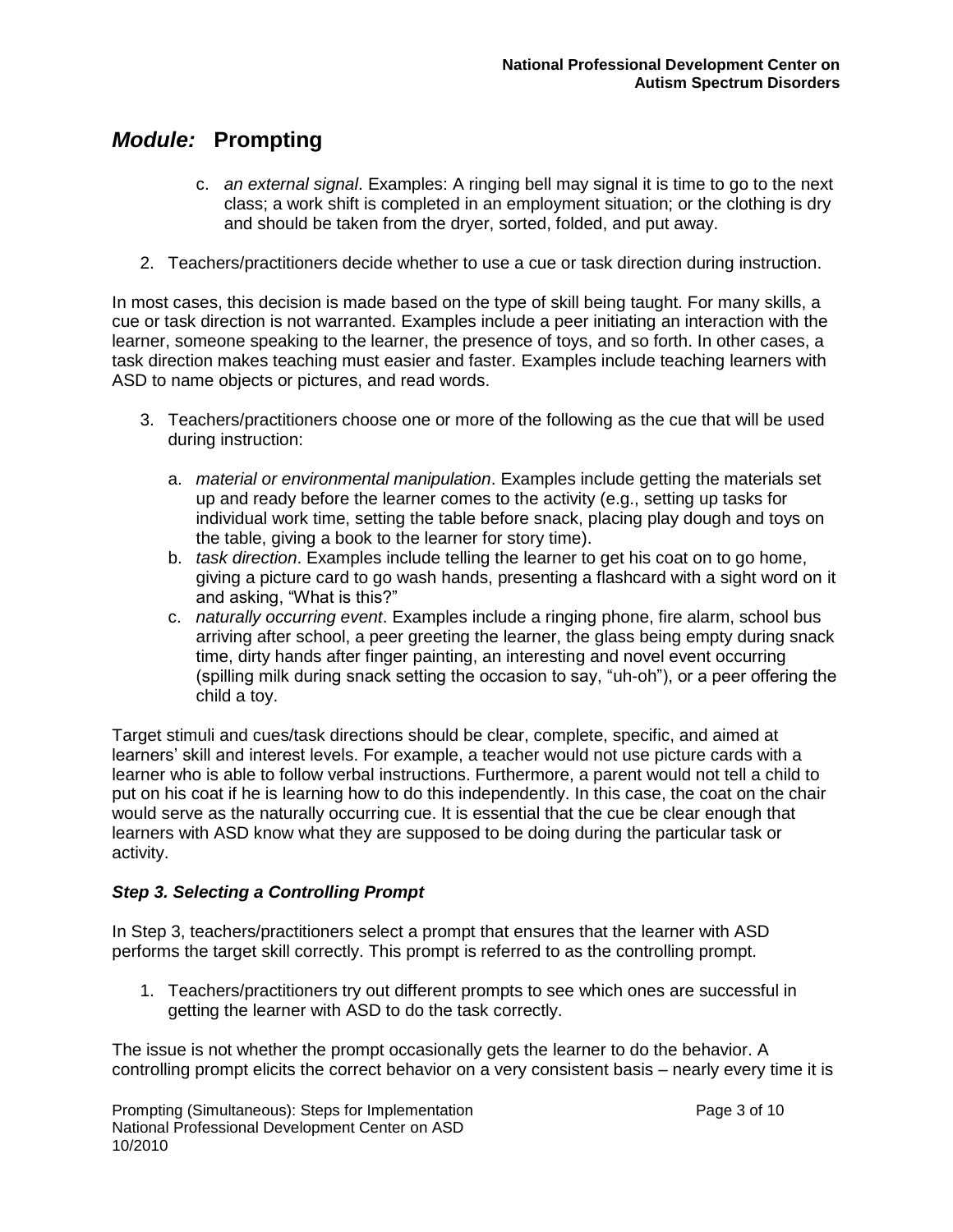- c. *an external signal*. Examples: A ringing bell may signal it is time to go to the next class; a work shift is completed in an employment situation; or the clothing is dry and should be taken from the dryer, sorted, folded, and put away.
- 2. Teachers/practitioners decide whether to use a cue or task direction during instruction.

In most cases, this decision is made based on the type of skill being taught. For many skills, a cue or task direction is not warranted. Examples include a peer initiating an interaction with the learner, someone speaking to the learner, the presence of toys, and so forth. In other cases, a task direction makes teaching must easier and faster. Examples include teaching learners with ASD to name objects or pictures, and read words.

- 3. Teachers/practitioners choose one or more of the following as the cue that will be used during instruction:
	- a. *material or environmental manipulation*. Examples include getting the materials set up and ready before the learner comes to the activity (e.g., setting up tasks for individual work time, setting the table before snack, placing play dough and toys on the table, giving a book to the learner for story time).
	- b. *task direction*. Examples include telling the learner to get his coat on to go home, giving a picture card to go wash hands, presenting a flashcard with a sight word on it and asking, "What is this?"
	- c. *naturally occurring event*. Examples include a ringing phone, fire alarm, school bus arriving after school, a peer greeting the learner, the glass being empty during snack time, dirty hands after finger painting, an interesting and novel event occurring (spilling milk during snack setting the occasion to say, "uh-oh"), or a peer offering the child a toy.

Target stimuli and cues/task directions should be clear, complete, specific, and aimed at learners" skill and interest levels. For example, a teacher would not use picture cards with a learner who is able to follow verbal instructions. Furthermore, a parent would not tell a child to put on his coat if he is learning how to do this independently. In this case, the coat on the chair would serve as the naturally occurring cue. It is essential that the cue be clear enough that learners with ASD know what they are supposed to be doing during the particular task or activity.

### *Step 3. Selecting a Controlling Prompt*

In Step 3, teachers/practitioners select a prompt that ensures that the learner with ASD performs the target skill correctly. This prompt is referred to as the controlling prompt.

1. Teachers/practitioners try out different prompts to see which ones are successful in getting the learner with ASD to do the task correctly.

The issue is not whether the prompt occasionally gets the learner to do the behavior. A controlling prompt elicits the correct behavior on a very consistent basis – nearly every time it is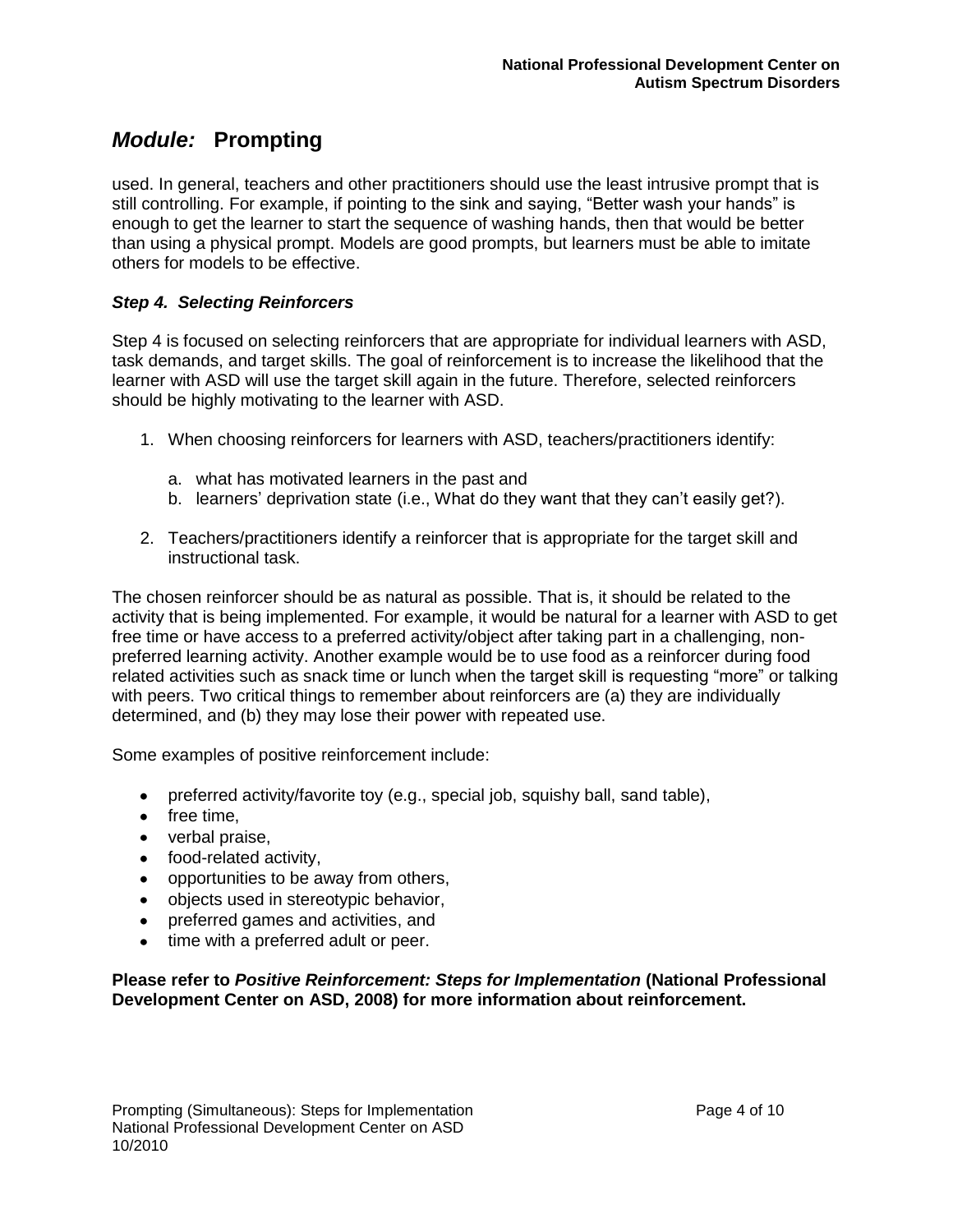used. In general, teachers and other practitioners should use the least intrusive prompt that is still controlling. For example, if pointing to the sink and saying, "Better wash your hands" is enough to get the learner to start the sequence of washing hands, then that would be better than using a physical prompt. Models are good prompts, but learners must be able to imitate others for models to be effective.

#### *Step 4. Selecting Reinforcers*

Step 4 is focused on selecting reinforcers that are appropriate for individual learners with ASD, task demands, and target skills. The goal of reinforcement is to increase the likelihood that the learner with ASD will use the target skill again in the future. Therefore, selected reinforcers should be highly motivating to the learner with ASD.

- 1. When choosing reinforcers for learners with ASD, teachers/practitioners identify:
	- a. what has motivated learners in the past and
	- b. learners' deprivation state (i.e., What do they want that they can't easily get?).
- 2. Teachers/practitioners identify a reinforcer that is appropriate for the target skill and instructional task.

The chosen reinforcer should be as natural as possible. That is, it should be related to the activity that is being implemented. For example, it would be natural for a learner with ASD to get free time or have access to a preferred activity/object after taking part in a challenging, nonpreferred learning activity. Another example would be to use food as a reinforcer during food related activities such as snack time or lunch when the target skill is requesting "more" or talking with peers. Two critical things to remember about reinforcers are (a) they are individually determined, and (b) they may lose their power with repeated use.

Some examples of positive reinforcement include:

- preferred activity/favorite toy (e.g., special job, squishy ball, sand table),
- free time,
- verbal praise,
- food-related activity.
- opportunities to be away from others,
- objects used in stereotypic behavior,
- preferred games and activities, and
- time with a preferred adult or peer.

**Please refer to** *Positive Reinforcement: Steps for Implementation* **(National Professional Development Center on ASD, 2008) for more information about reinforcement.**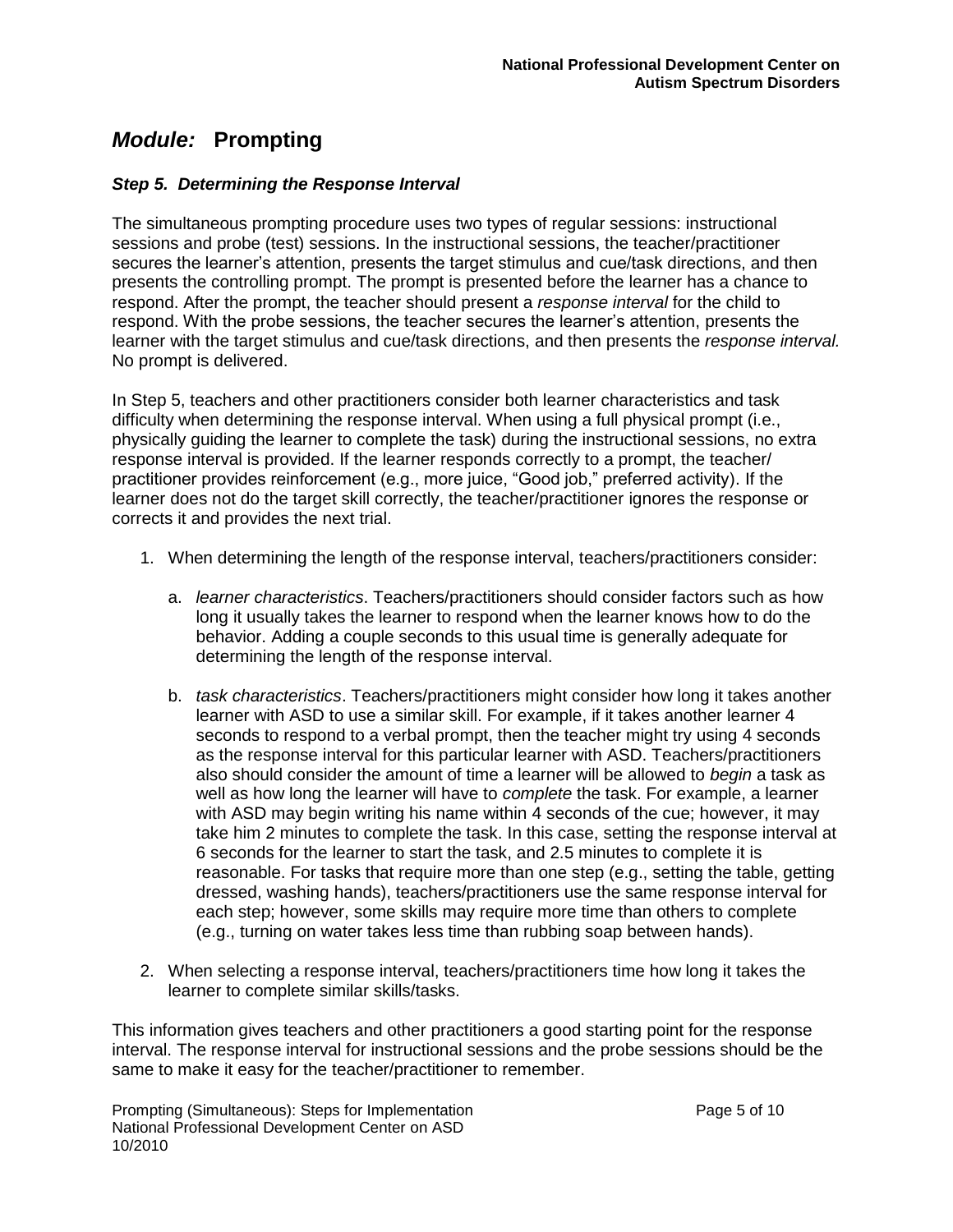#### *Step 5. Determining the Response Interval*

The simultaneous prompting procedure uses two types of regular sessions: instructional sessions and probe (test) sessions. In the instructional sessions, the teacher/practitioner secures the learner's attention, presents the target stimulus and cue/task directions, and then presents the controlling prompt. The prompt is presented before the learner has a chance to respond. After the prompt, the teacher should present a *response interval* for the child to respond. With the probe sessions, the teacher secures the learner"s attention, presents the learner with the target stimulus and cue/task directions, and then presents the *response interval.*  No prompt is delivered.

In Step 5, teachers and other practitioners consider both learner characteristics and task difficulty when determining the response interval. When using a full physical prompt (i.e., physically guiding the learner to complete the task) during the instructional sessions, no extra response interval is provided. If the learner responds correctly to a prompt, the teacher/ practitioner provides reinforcement (e.g., more juice, "Good job," preferred activity). If the learner does not do the target skill correctly, the teacher/practitioner ignores the response or corrects it and provides the next trial.

- 1. When determining the length of the response interval, teachers/practitioners consider:
	- a. *learner characteristics*. Teachers/practitioners should consider factors such as how long it usually takes the learner to respond when the learner knows how to do the behavior. Adding a couple seconds to this usual time is generally adequate for determining the length of the response interval.
	- b. *task characteristics*. Teachers/practitioners might consider how long it takes another learner with ASD to use a similar skill. For example, if it takes another learner 4 seconds to respond to a verbal prompt, then the teacher might try using 4 seconds as the response interval for this particular learner with ASD. Teachers/practitioners also should consider the amount of time a learner will be allowed to *begin* a task as well as how long the learner will have to *complete* the task. For example, a learner with ASD may begin writing his name within 4 seconds of the cue; however, it may take him 2 minutes to complete the task. In this case, setting the response interval at 6 seconds for the learner to start the task, and 2.5 minutes to complete it is reasonable. For tasks that require more than one step (e.g., setting the table, getting dressed, washing hands), teachers/practitioners use the same response interval for each step; however, some skills may require more time than others to complete (e.g., turning on water takes less time than rubbing soap between hands).
- 2. When selecting a response interval, teachers/practitioners time how long it takes the learner to complete similar skills/tasks.

This information gives teachers and other practitioners a good starting point for the response interval. The response interval for instructional sessions and the probe sessions should be the same to make it easy for the teacher/practitioner to remember.

Prompting (Simultaneous): Steps for Implementation example of the Page 5 of 10 National Professional Development Center on ASD 10/2010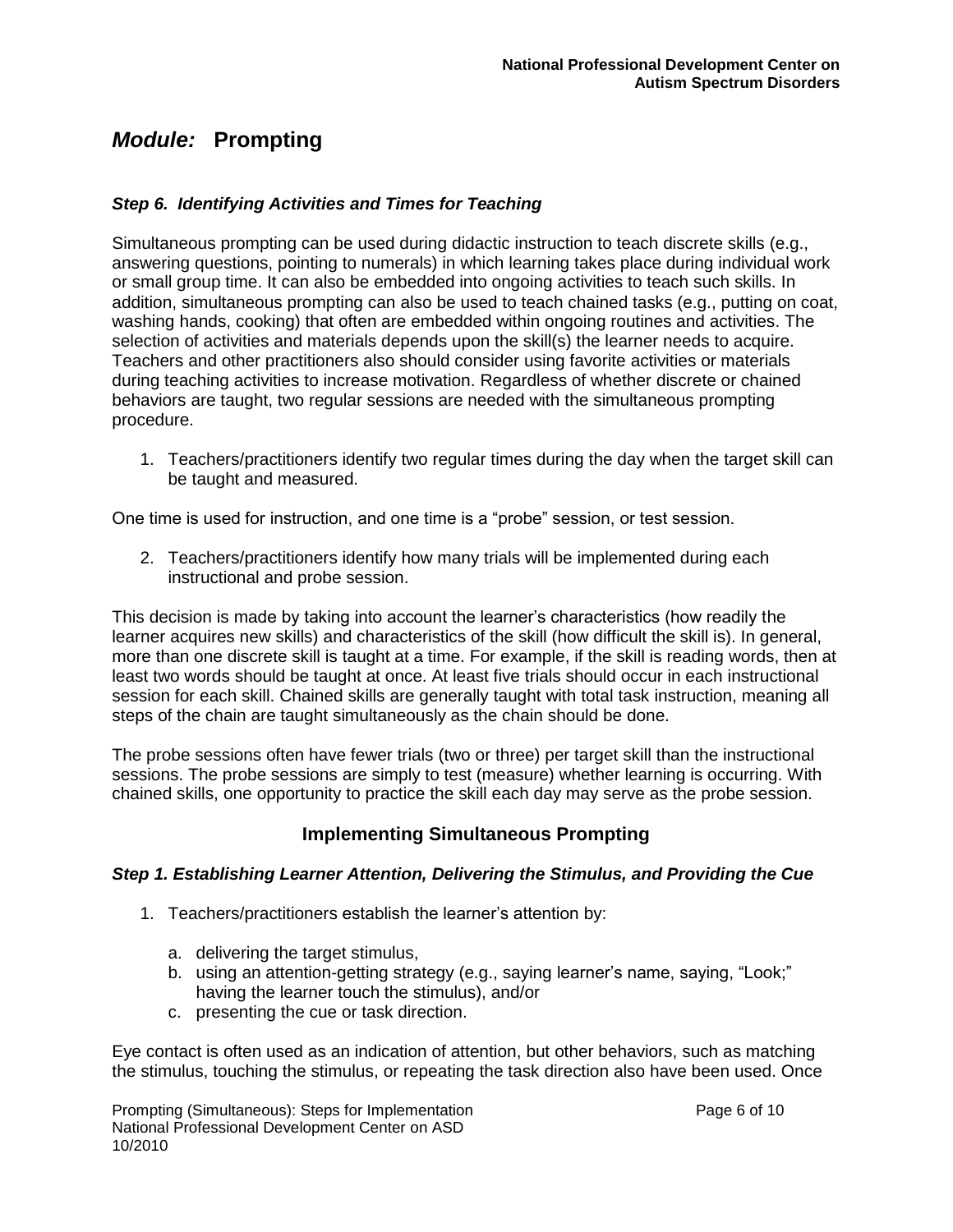#### *Step 6. Identifying Activities and Times for Teaching*

Simultaneous prompting can be used during didactic instruction to teach discrete skills (e.g., answering questions, pointing to numerals) in which learning takes place during individual work or small group time. It can also be embedded into ongoing activities to teach such skills. In addition, simultaneous prompting can also be used to teach chained tasks (e.g., putting on coat, washing hands, cooking) that often are embedded within ongoing routines and activities. The selection of activities and materials depends upon the skill(s) the learner needs to acquire. Teachers and other practitioners also should consider using favorite activities or materials during teaching activities to increase motivation. Regardless of whether discrete or chained behaviors are taught, two regular sessions are needed with the simultaneous prompting procedure.

1. Teachers/practitioners identify two regular times during the day when the target skill can be taught and measured.

One time is used for instruction, and one time is a "probe" session, or test session.

2. Teachers/practitioners identify how many trials will be implemented during each instructional and probe session.

This decision is made by taking into account the learner"s characteristics (how readily the learner acquires new skills) and characteristics of the skill (how difficult the skill is). In general, more than one discrete skill is taught at a time. For example, if the skill is reading words, then at least two words should be taught at once. At least five trials should occur in each instructional session for each skill. Chained skills are generally taught with total task instruction, meaning all steps of the chain are taught simultaneously as the chain should be done.

The probe sessions often have fewer trials (two or three) per target skill than the instructional sessions. The probe sessions are simply to test (measure) whether learning is occurring. With chained skills, one opportunity to practice the skill each day may serve as the probe session.

### **Implementing Simultaneous Prompting**

#### *Step 1. Establishing Learner Attention, Delivering the Stimulus, and Providing the Cue*

- 1. Teachers/practitioners establish the learner"s attention by:
	- a. delivering the target stimulus,
	- b. using an attention-getting strategy (e.g., saying learner's name, saying, "Look;" having the learner touch the stimulus), and/or
	- c. presenting the cue or task direction.

Eye contact is often used as an indication of attention, but other behaviors, such as matching the stimulus, touching the stimulus, or repeating the task direction also have been used. Once

Prompting (Simultaneous): Steps for Implementation example of the Page 6 of 10 National Professional Development Center on ASD 10/2010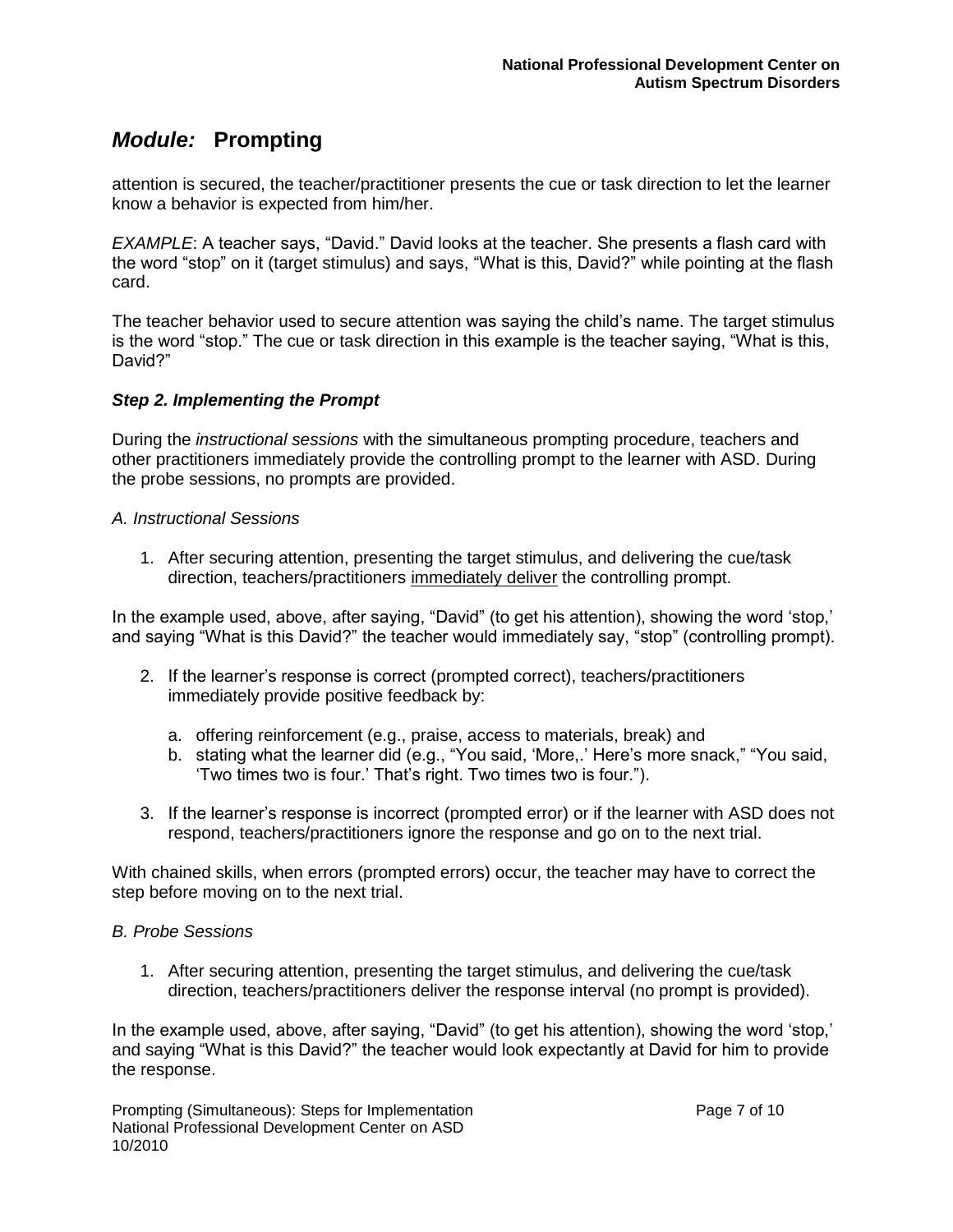attention is secured, the teacher/practitioner presents the cue or task direction to let the learner know a behavior is expected from him/her.

*EXAMPLE*: A teacher says, "David." David looks at the teacher. She presents a flash card with the word "stop" on it (target stimulus) and says, "What is this, David?" while pointing at the flash card.

The teacher behavior used to secure attention was saying the child"s name. The target stimulus is the word "stop." The cue or task direction in this example is the teacher saying, "What is this, David?"

#### *Step 2. Implementing the Prompt*

During the *instructional sessions* with the simultaneous prompting procedure, teachers and other practitioners immediately provide the controlling prompt to the learner with ASD. During the probe sessions, no prompts are provided.

#### *A. Instructional Sessions*

1. After securing attention, presenting the target stimulus, and delivering the cue/task direction, teachers/practitioners immediately deliver the controlling prompt.

In the example used, above, after saying, "David" (to get his attention), showing the word "stop," and saying "What is this David?" the teacher would immediately say, "stop" (controlling prompt).

- 2. If the learner"s response is correct (prompted correct), teachers/practitioners immediately provide positive feedback by:
	- a. offering reinforcement (e.g., praise, access to materials, break) and
	- b. stating what the learner did (e.g., "You said, 'More,.' Here's more snack," "You said, "Two times two is four." That"s right. Two times two is four.").
- 3. If the learner"s response is incorrect (prompted error) or if the learner with ASD does not respond, teachers/practitioners ignore the response and go on to the next trial.

With chained skills, when errors (prompted errors) occur, the teacher may have to correct the step before moving on to the next trial.

#### *B. Probe Sessions*

1. After securing attention, presenting the target stimulus, and delivering the cue/task direction, teachers/practitioners deliver the response interval (no prompt is provided).

In the example used, above, after saying, "David" (to get his attention), showing the word "stop," and saying "What is this David?" the teacher would look expectantly at David for him to provide the response.

Prompting (Simultaneous): Steps for Implementation Page 7 of 10 National Professional Development Center on ASD 10/2010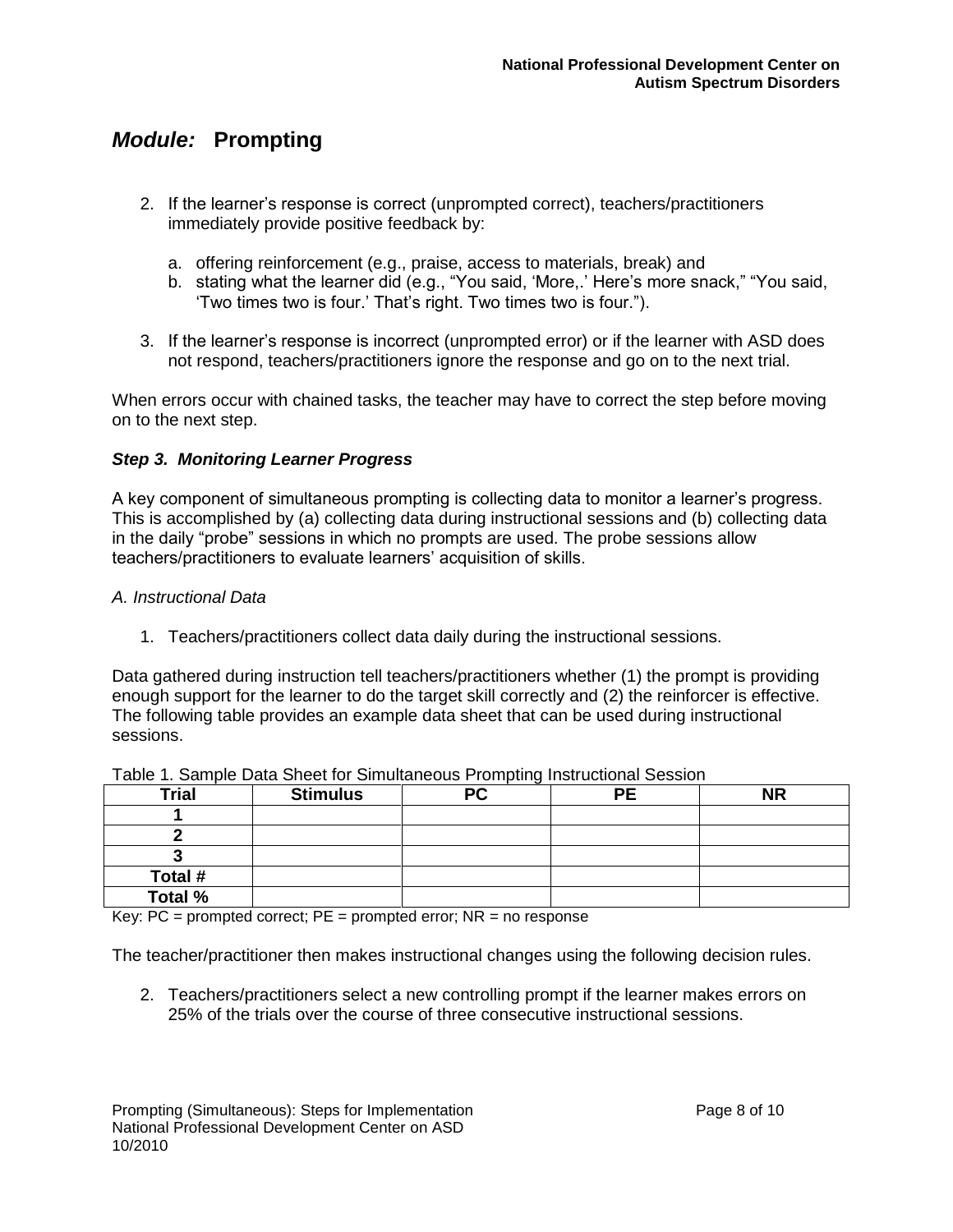- 2. If the learner"s response is correct (unprompted correct), teachers/practitioners immediately provide positive feedback by:
	- a. offering reinforcement (e.g., praise, access to materials, break) and
	- b. stating what the learner did (e.g., "You said, "More,." Here"s more snack," "You said, "Two times two is four." That"s right. Two times two is four.").
- 3. If the learner"s response is incorrect (unprompted error) or if the learner with ASD does not respond, teachers/practitioners ignore the response and go on to the next trial.

When errors occur with chained tasks, the teacher may have to correct the step before moving on to the next step.

#### *Step 3. Monitoring Learner Progress*

A key component of simultaneous prompting is collecting data to monitor a learner"s progress. This is accomplished by (a) collecting data during instructional sessions and (b) collecting data in the daily "probe" sessions in which no prompts are used. The probe sessions allow teachers/practitioners to evaluate learners' acquisition of skills.

#### *A. Instructional Data*

1. Teachers/practitioners collect data daily during the instructional sessions.

Data gathered during instruction tell teachers/practitioners whether (1) the prompt is providing enough support for the learner to do the target skill correctly and (2) the reinforcer is effective. The following table provides an example data sheet that can be used during instructional sessions.

|              | ັ               |    |           |    |  |  |
|--------------|-----------------|----|-----------|----|--|--|
| <b>Trial</b> | <b>Stimulus</b> | РC | <b>PE</b> | ΝR |  |  |
|              |                 |    |           |    |  |  |
|              |                 |    |           |    |  |  |
|              |                 |    |           |    |  |  |
| Total #      |                 |    |           |    |  |  |
| Total %      |                 |    |           |    |  |  |

| Table 1. Sample Data Sheet for Simultaneous Prompting Instructional Session |  |
|-----------------------------------------------------------------------------|--|
|-----------------------------------------------------------------------------|--|

Key:  $PC =$  prompted correct;  $PE =$  prompted error;  $NR =$  no response

The teacher/practitioner then makes instructional changes using the following decision rules.

2. Teachers/practitioners select a new controlling prompt if the learner makes errors on 25% of the trials over the course of three consecutive instructional sessions.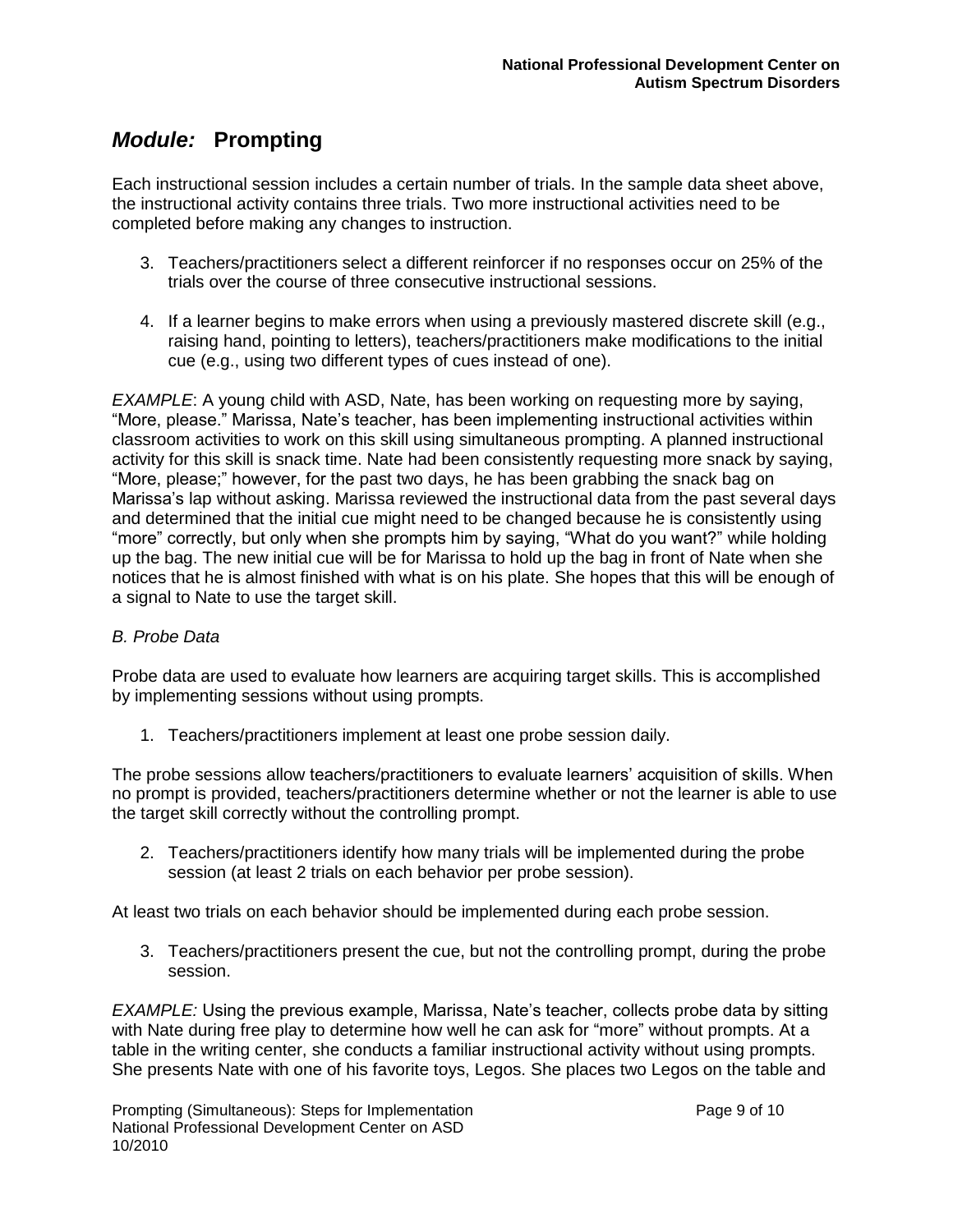Each instructional session includes a certain number of trials. In the sample data sheet above, the instructional activity contains three trials. Two more instructional activities need to be completed before making any changes to instruction.

- 3. Teachers/practitioners select a different reinforcer if no responses occur on 25% of the trials over the course of three consecutive instructional sessions.
- 4. If a learner begins to make errors when using a previously mastered discrete skill (e.g., raising hand, pointing to letters), teachers/practitioners make modifications to the initial cue (e.g., using two different types of cues instead of one).

*EXAMPLE*: A young child with ASD, Nate, has been working on requesting more by saying, "More, please." Marissa, Nate"s teacher, has been implementing instructional activities within classroom activities to work on this skill using simultaneous prompting. A planned instructional activity for this skill is snack time. Nate had been consistently requesting more snack by saying, "More, please;" however, for the past two days, he has been grabbing the snack bag on Marissa"s lap without asking. Marissa reviewed the instructional data from the past several days and determined that the initial cue might need to be changed because he is consistently using "more" correctly, but only when she prompts him by saying, "What do you want?" while holding up the bag. The new initial cue will be for Marissa to hold up the bag in front of Nate when she notices that he is almost finished with what is on his plate. She hopes that this will be enough of a signal to Nate to use the target skill.

#### *B. Probe Data*

Probe data are used to evaluate how learners are acquiring target skills. This is accomplished by implementing sessions without using prompts.

1. Teachers/practitioners implement at least one probe session daily.

The probe sessions allow teachers/practitioners to evaluate learners" acquisition of skills. When no prompt is provided, teachers/practitioners determine whether or not the learner is able to use the target skill correctly without the controlling prompt.

2. Teachers/practitioners identify how many trials will be implemented during the probe session (at least 2 trials on each behavior per probe session).

At least two trials on each behavior should be implemented during each probe session.

3. Teachers/practitioners present the cue, but not the controlling prompt, during the probe session.

*EXAMPLE:* Using the previous example, Marissa, Nate"s teacher, collects probe data by sitting with Nate during free play to determine how well he can ask for "more" without prompts. At a table in the writing center, she conducts a familiar instructional activity without using prompts. She presents Nate with one of his favorite toys, Legos. She places two Legos on the table and